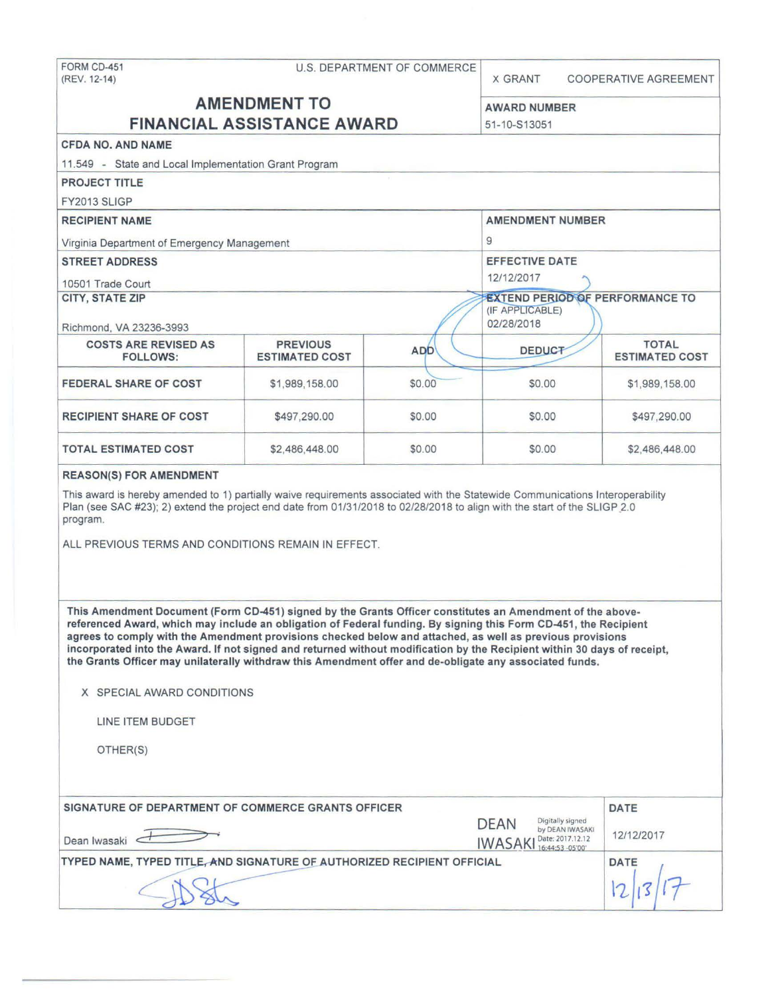| FORM CD-451<br>(REV. 12-14)                                                                                                                                                                                                                                                                                                                                                                                                                                                                                                                                                                                                                     | U.S. DEPARTMENT OF COMMERCE              |            | <b>X GRANT</b>                                                                           | <b>COOPERATIVE AGREEMENT</b>          |  |
|-------------------------------------------------------------------------------------------------------------------------------------------------------------------------------------------------------------------------------------------------------------------------------------------------------------------------------------------------------------------------------------------------------------------------------------------------------------------------------------------------------------------------------------------------------------------------------------------------------------------------------------------------|------------------------------------------|------------|------------------------------------------------------------------------------------------|---------------------------------------|--|
| <b>AMENDMENT TO</b><br><b>FINANCIAL ASSISTANCE AWARD</b>                                                                                                                                                                                                                                                                                                                                                                                                                                                                                                                                                                                        |                                          |            |                                                                                          |                                       |  |
|                                                                                                                                                                                                                                                                                                                                                                                                                                                                                                                                                                                                                                                 |                                          |            | <b>AWARD NUMBER</b>                                                                      |                                       |  |
|                                                                                                                                                                                                                                                                                                                                                                                                                                                                                                                                                                                                                                                 | 51-10-S13051                             |            |                                                                                          |                                       |  |
| <b>CFDA NO. AND NAME</b>                                                                                                                                                                                                                                                                                                                                                                                                                                                                                                                                                                                                                        |                                          |            |                                                                                          |                                       |  |
| 11.549 - State and Local Implementation Grant Program<br><b>PROJECT TITLE</b>                                                                                                                                                                                                                                                                                                                                                                                                                                                                                                                                                                   |                                          |            |                                                                                          |                                       |  |
| <b>FY2013 SLIGP</b>                                                                                                                                                                                                                                                                                                                                                                                                                                                                                                                                                                                                                             |                                          |            |                                                                                          |                                       |  |
| <b>RECIPIENT NAME</b>                                                                                                                                                                                                                                                                                                                                                                                                                                                                                                                                                                                                                           |                                          |            | <b>AMENDMENT NUMBER</b>                                                                  |                                       |  |
|                                                                                                                                                                                                                                                                                                                                                                                                                                                                                                                                                                                                                                                 |                                          | 9          |                                                                                          |                                       |  |
| Virginia Department of Emergency Management<br><b>STREET ADDRESS</b>                                                                                                                                                                                                                                                                                                                                                                                                                                                                                                                                                                            |                                          |            |                                                                                          |                                       |  |
|                                                                                                                                                                                                                                                                                                                                                                                                                                                                                                                                                                                                                                                 |                                          |            | <b>EFFECTIVE DATE</b><br>12/12/2017                                                      |                                       |  |
| 10501 Trade Court<br><b>CITY, STATE ZIP</b>                                                                                                                                                                                                                                                                                                                                                                                                                                                                                                                                                                                                     |                                          |            | <b>EXTEND PERIOD OF PERFORMANCE TO</b>                                                   |                                       |  |
|                                                                                                                                                                                                                                                                                                                                                                                                                                                                                                                                                                                                                                                 |                                          |            | (IF APPLICABLE)                                                                          |                                       |  |
| Richmond, VA 23236-3993                                                                                                                                                                                                                                                                                                                                                                                                                                                                                                                                                                                                                         |                                          |            | 02/28/2018                                                                               |                                       |  |
| <b>COSTS ARE REVISED AS</b><br><b>FOLLOWS:</b>                                                                                                                                                                                                                                                                                                                                                                                                                                                                                                                                                                                                  | <b>PREVIOUS</b><br><b>ESTIMATED COST</b> | <b>ADD</b> | <b>DEDUCT</b>                                                                            | <b>TOTAL</b><br><b>ESTIMATED COST</b> |  |
| <b>FEDERAL SHARE OF COST</b>                                                                                                                                                                                                                                                                                                                                                                                                                                                                                                                                                                                                                    | \$1,989,158.00                           | \$0.00     | \$0.00                                                                                   | \$1,989,158.00                        |  |
| <b>RECIPIENT SHARE OF COST</b>                                                                                                                                                                                                                                                                                                                                                                                                                                                                                                                                                                                                                  | \$497,290.00                             | \$0.00     | \$0.00                                                                                   | \$497,290.00                          |  |
| <b>TOTAL ESTIMATED COST</b>                                                                                                                                                                                                                                                                                                                                                                                                                                                                                                                                                                                                                     | \$2,486,448.00                           | \$0.00     | \$0.00                                                                                   | \$2,486,448.00                        |  |
| <b>REASON(S) FOR AMENDMENT</b>                                                                                                                                                                                                                                                                                                                                                                                                                                                                                                                                                                                                                  |                                          |            |                                                                                          |                                       |  |
| This award is hereby amended to 1) partially waive requirements associated with the Statewide Communications Interoperability<br>Plan (see SAC #23); 2) extend the project end date from 01/31/2018 to 02/28/2018 to align with the start of the SLIGP 2.0<br>program.<br>ALL PREVIOUS TERMS AND CONDITIONS REMAIN IN EFFECT.                                                                                                                                                                                                                                                                                                                   |                                          |            |                                                                                          |                                       |  |
| This Amendment Document (Form CD-451) signed by the Grants Officer constitutes an Amendment of the above-<br>referenced Award, which may include an obligation of Federal funding. By signing this Form CD-451, the Recipient<br>agrees to comply with the Amendment provisions checked below and attached, as well as previous provisions<br>incorporated into the Award. If not signed and returned without modification by the Recipient within 30 days of receipt,<br>the Grants Officer may unilaterally withdraw this Amendment offer and de-obligate any associated funds.<br>X SPECIAL AWARD CONDITIONS<br>LINE ITEM BUDGET<br>OTHER(S) |                                          |            |                                                                                          |                                       |  |
| SIGNATURE OF DEPARTMENT OF COMMERCE GRANTS OFFICER                                                                                                                                                                                                                                                                                                                                                                                                                                                                                                                                                                                              |                                          |            |                                                                                          | <b>DATE</b>                           |  |
| Dean Iwasaki                                                                                                                                                                                                                                                                                                                                                                                                                                                                                                                                                                                                                                    |                                          |            | Digitally signed<br><b>DEAN</b><br>by DEAN IWASAKI<br>Date: 2017.12.12<br><b>IWASAKI</b> | 12/12/2017                            |  |
| TYPED NAME, TYPED TITLE, AND SIGNATURE OF AUTHORIZED RECIPIENT OFFICIAL                                                                                                                                                                                                                                                                                                                                                                                                                                                                                                                                                                         |                                          |            | 16:44:53 -05'00"                                                                         | <b>DATE</b>                           |  |
|                                                                                                                                                                                                                                                                                                                                                                                                                                                                                                                                                                                                                                                 |                                          |            |                                                                                          |                                       |  |
|                                                                                                                                                                                                                                                                                                                                                                                                                                                                                                                                                                                                                                                 |                                          |            |                                                                                          |                                       |  |